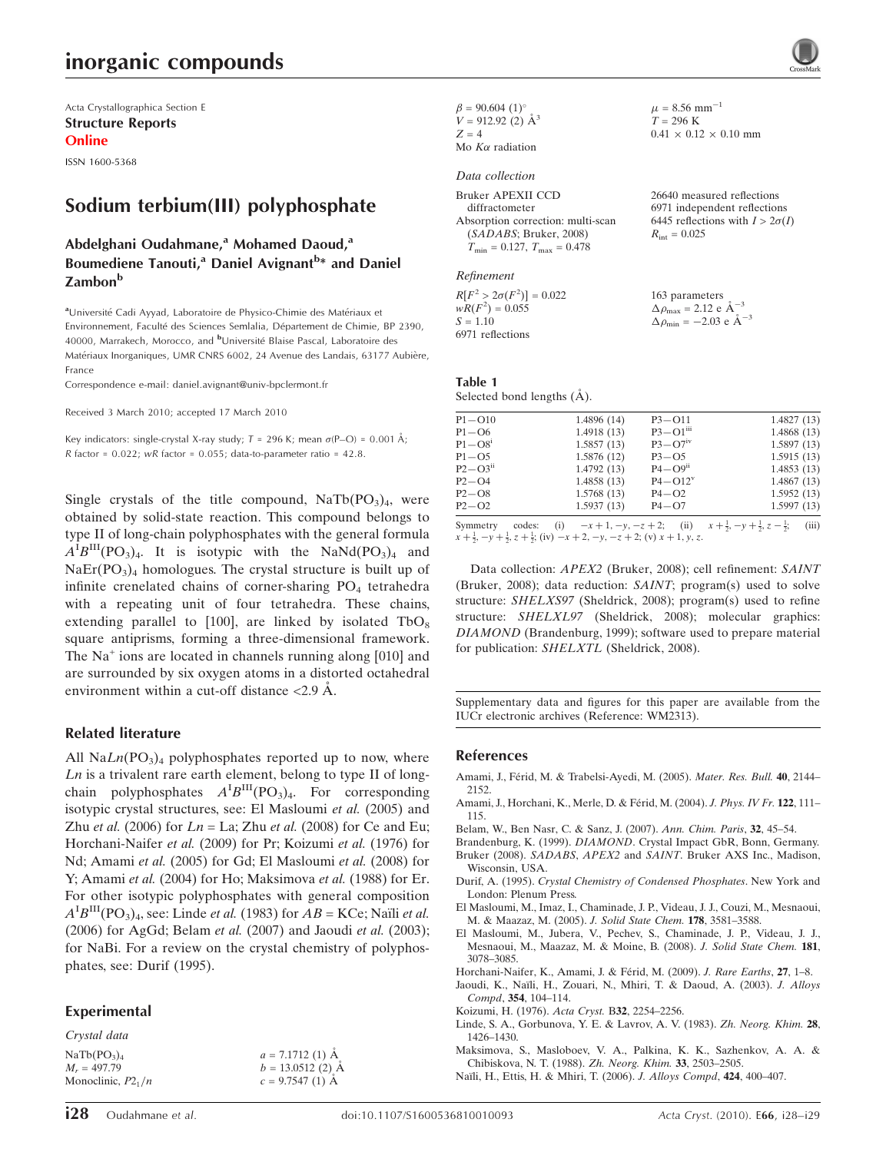## inorganic compounds

Acta Crystallographica Section E Structure Reports Online

ISSN 1600-5368

### Sodium terbium(III) polyphosphate

### Abdelghani Oudahmane,<sup>a</sup> Mohamed Daoud,<sup>a</sup> Boumediene Tanouti,<sup>a</sup> Daniel Avignant<sup>b</sup>\* and Daniel **Zambon**b

aUniversité Cadi Ayyad, Laboratoire de Physico-Chimie des Matériaux et Environnement, Faculté des Sciences Semlalia, Département de Chimie, BP 2390, 40000, Marrakech, Morocco, and <sup>b</sup>Université Blaise Pascal, Laboratoire des Matériaux Inorganiques, UMR CNRS 6002, 24 Avenue des Landais, 63177 Aubière, France

Correspondence e-mail: daniel.avignant@univ-bpclermont.fr

Received 3 March 2010; accepted 17 March 2010

Key indicators: single-crystal X-ray study;  $T = 296$  K; mean  $\sigma$ (P-O) = 0.001 Å; R factor =  $0.022$ ; wR factor =  $0.055$ ; data-to-parameter ratio =  $42.8$ .

Single crystals of the title compound,  $\text{NaTb}(\text{PO}_3)_4$ , were obtained by solid-state reaction. This compound belongs to type II of long-chain polyphosphates with the general formula  $A^{T}B^{III}(PO_{3})_{4}$ . It is isotypic with the NaNd(PO<sub>3</sub>)<sub>4</sub> and  $NaEr(PO<sub>3</sub>)<sub>4</sub>$  homologues. The crystal structure is built up of infinite crenelated chains of corner-sharing  $PO<sub>4</sub>$  tetrahedra with a repeating unit of four tetrahedra. These chains, extending parallel to [100], are linked by isolated  $TbO_8$ square antiprisms, forming a three-dimensional framework. The Na<sup>+</sup> ions are located in channels running along [010] and are surrounded by six oxygen atoms in a distorted octahedral environment within a cut-off distance  $\langle 2.9 \text{ Å}.$ 

#### Related literature

All  $\text{Na}Ln(\text{PO}_3)_4$  polyphosphates reported up to now, where Ln is a trivalent rare earth element, belong to type II of longchain polyphosphates  $A^{I}B^{III}(PO_3)_4$ . For corresponding isotypic crystal structures, see: El Masloumi et al. (2005) and Zhu et al. (2006) for  $Ln = La$ ; Zhu et al. (2008) for Ce and Eu; Horchani-Naifer et al. (2009) for Pr; Koizumi et al. (1976) for Nd; Amami et al. (2005) for Gd; El Masloumi et al. (2008) for Y; Amami et al. (2004) for Ho; Maksimova et al. (1988) for Er. For other isotypic polyphosphates with general composition  $A^{I}B^{III}(PO_3)_4$ , see: Linde *et al.* (1983) for  $AB = KC$ e; Naïli *et al.* (2006) for AgGd; Belam et al. (2007) and Jaoudi et al. (2003); for NaBi. For a review on the crystal chemistry of polyphosphates, see: Durif (1995).

### Experimental

Crystal data

| NaTb(PO <sub>3</sub> ) <sub>4</sub> | $a = 7.1712(1)$ Å |
|-------------------------------------|-------------------|
| $M_r = 497.79$                      | $b = 13.0512(2)$  |
| Monoclinic, $P2_1/n$                | $c = 9.7547(1)$ Å |
|                                     |                   |

### Data collection

| <b>Bruker APEXII CCD</b>                |
|-----------------------------------------|
| diffractometer                          |
| Absorption correction: multi-scan       |
| (SADABS; Bruker, 2008)                  |
| $T_{\min} = 0.127$ , $T_{\max} = 0.478$ |

Refinement

**Table** 

 $R[F^2 > 2\sigma(F^2)] = 0.022$  $wR(F^2) = 0.055$  $S = 1.10$ 6971 reflections 163 parameters  $\Delta \rho_{\text{max}} = 2.12 \text{ e A}^{-3}$  $\Delta \rho_{\rm min} = -2.03 \text{ e A}^{-3}$ 

| 1 |                                                                                                                                                                                                                                                                                                                                                                                                                                                              |  |
|---|--------------------------------------------------------------------------------------------------------------------------------------------------------------------------------------------------------------------------------------------------------------------------------------------------------------------------------------------------------------------------------------------------------------------------------------------------------------|--|
|   | $\mathbf{a} \cdot \mathbf{a} = \mathbf{a} \cdot \mathbf{a} + \mathbf{a} \cdot \mathbf{a} + \mathbf{a} \cdot \mathbf{a} + \mathbf{a} \cdot \mathbf{a} + \mathbf{a} \cdot \mathbf{a} + \mathbf{a} \cdot \mathbf{a} + \mathbf{a} \cdot \mathbf{a} + \mathbf{a} \cdot \mathbf{a} + \mathbf{a} \cdot \mathbf{a} + \mathbf{a} \cdot \mathbf{a} + \mathbf{a} \cdot \mathbf{a} + \mathbf{a} \cdot \mathbf{a} + \mathbf{a} \cdot \mathbf{a} + \mathbf{a} \cdot \math$ |  |

Selected bond lengths (A).

| $P1 - O10$              | 1.4896 (14)              | $P3 - O11$               | 1.4827(13)                                                     |
|-------------------------|--------------------------|--------------------------|----------------------------------------------------------------|
| $P1 - O6$               | 1.4918(13)               | $P3 - Q1$ <sup>iii</sup> | 1.4868(13)                                                     |
| $P1 - O81$              | 1.5857(13)               | $P3 - O7$ <sup>1V</sup>  | 1.5897(13)                                                     |
| $P1 - O5$               | 1.5876 (12)              | $P3 - O5$                | 1.5915(13)                                                     |
| $P2 - O3$ <sup>ii</sup> | 1.4792(13)               | $P4 - Q9$ <sup>ii</sup>  | 1.4853(13)                                                     |
| $P2 - Q4$               | 1.4858(13)               | $P4 - O12v$              | 1.4867(13)                                                     |
| $P2 - O8$               | 1.5768(13)               | $P4 - O2$                | 1.5952(13)                                                     |
| $P2 - O2$               | 1.5937(13)               | $P4 - O7$                | 1.5997(13)                                                     |
| Symmetry<br>codes:      | (i)<br>$-x+1, -y, -z+2;$ | (ii)                     | $x + \frac{1}{2}, -y + \frac{1}{2}, z - \frac{1}{2};$<br>(iii) |

 $\mu = 8.56$  mm<sup>-1</sup>  $T = 296 K$ 

 $R_{\text{int}} = 0.025$ 

 $0.41 \times 0.12 \times 0.10$  mm

26640 measured reflections 6971 independent reflections 6445 reflections with  $I > 2\sigma(I)$ 

Symmetry codes: (i)  $-x+1, -y, -z+2$ ; (ii)  $x+\frac{1}{2}$ <br>  $x+\frac{1}{2}, -y+\frac{1}{2}, z+\frac{1}{2}$ ; (iv)  $-x+2, -y, -z+2$ ; (v)  $x+1, y, z$ .

Data collection: APEX2 (Bruker, 2008); cell refinement: SAINT (Bruker, 2008); data reduction: SAINT; program(s) used to solve structure: SHELXS97 (Sheldrick, 2008); program(s) used to refine structure: SHELXL97 (Sheldrick, 2008); molecular graphics: DIAMOND (Brandenburg, 1999); software used to prepare material for publication: SHELXTL (Sheldrick, 2008).

Supplementary data and figures for this paper are available from the IUCr electronic archives (Reference: WM2313).

#### References

- Amami, J., Férid, M. & Trabelsi-Ayedi, M. (2005). Mater. Res. Bull. 40, 2144-[2152.](https://scripts.iucr.org/cgi-bin/cr.cgi?rm=pdfbb&cnor=wm2313&bbid=BB1)
- Amami, J., Horchani, K., Merle, D. & Férid, M. (2004). J. Phys. IV Fr. 122, 111-[115.](https://scripts.iucr.org/cgi-bin/cr.cgi?rm=pdfbb&cnor=wm2313&bbid=BB2)
- [Belam, W., Ben Nasr, C. & Sanz, J. \(2007\).](https://scripts.iucr.org/cgi-bin/cr.cgi?rm=pdfbb&cnor=wm2313&bbid=BB3) Ann. Chim. Paris, 32, 45–54.
- Brandenburg, K. (1999). DIAMOND[. Crystal Impact GbR, Bonn, Germany.](https://scripts.iucr.org/cgi-bin/cr.cgi?rm=pdfbb&cnor=wm2313&bbid=BB4) Bruker (2008). SADABS, APEX2 and SAINT[. Bruker AXS Inc., Madison,](https://scripts.iucr.org/cgi-bin/cr.cgi?rm=pdfbb&cnor=wm2313&bbid=BB5)
- [Wisconsin, USA.](https://scripts.iucr.org/cgi-bin/cr.cgi?rm=pdfbb&cnor=wm2313&bbid=BB5)
- Durif, A. (1995). [Crystal Chemistry of Condensed Phosphates](https://scripts.iucr.org/cgi-bin/cr.cgi?rm=pdfbb&cnor=wm2313&bbid=BB6). New York and [London: Plenum Press.](https://scripts.iucr.org/cgi-bin/cr.cgi?rm=pdfbb&cnor=wm2313&bbid=BB6)
- [El Masloumi, M., Imaz, I., Chaminade, J. P., Videau, J. J., Couzi, M., Mesnaoui,](https://scripts.iucr.org/cgi-bin/cr.cgi?rm=pdfbb&cnor=wm2313&bbid=BB7) [M. & Maazaz, M. \(2005\).](https://scripts.iucr.org/cgi-bin/cr.cgi?rm=pdfbb&cnor=wm2313&bbid=BB7) J. Solid State Chem. 178, 3581–3588.
- [El Masloumi, M., Jubera, V., Pechev, S., Chaminade, J. P., Videau, J. J.,](https://scripts.iucr.org/cgi-bin/cr.cgi?rm=pdfbb&cnor=wm2313&bbid=BB8) [Mesnaoui, M., Maazaz, M. & Moine, B. \(2008\).](https://scripts.iucr.org/cgi-bin/cr.cgi?rm=pdfbb&cnor=wm2313&bbid=BB8) J. Solid State Chem. 181, [3078–3085.](https://scripts.iucr.org/cgi-bin/cr.cgi?rm=pdfbb&cnor=wm2313&bbid=BB8)
- Horchani-Naifer, K., Amami, J. & Férid, M. (2009). J. Rare Earths, 27, 1-8.
- Jaoudi, K., Naïli, H., Zouari, N., Mhiri, T. & Daoud, A. (2003). J. Alloys Compd, 354[, 104–114.](https://scripts.iucr.org/cgi-bin/cr.cgi?rm=pdfbb&cnor=wm2313&bbid=BB10)
- [Koizumi, H. \(1976\).](https://scripts.iucr.org/cgi-bin/cr.cgi?rm=pdfbb&cnor=wm2313&bbid=BB11) Acta Cryst. B32, 2254–2256.
- [Linde, S. A., Gorbunova, Y. E. & Lavrov, A. V. \(1983\).](https://scripts.iucr.org/cgi-bin/cr.cgi?rm=pdfbb&cnor=wm2313&bbid=BB12) Zh. Neorg. Khim. 28, [1426–1430.](https://scripts.iucr.org/cgi-bin/cr.cgi?rm=pdfbb&cnor=wm2313&bbid=BB12)
- [Maksimova, S., Masloboev, V. A., Palkina, K. K., Sazhenkov, A. A. &](https://scripts.iucr.org/cgi-bin/cr.cgi?rm=pdfbb&cnor=wm2313&bbid=BB13) [Chibiskova, N. T. \(1988\).](https://scripts.iucr.org/cgi-bin/cr.cgi?rm=pdfbb&cnor=wm2313&bbid=BB13) Zh. Neorg. Khim. 33, 2503–2505.
- Naïli, H., Ettis, H. & Mhiri, T. (2006). J. Alloys Compd, 424, 400-407.

 $\AA$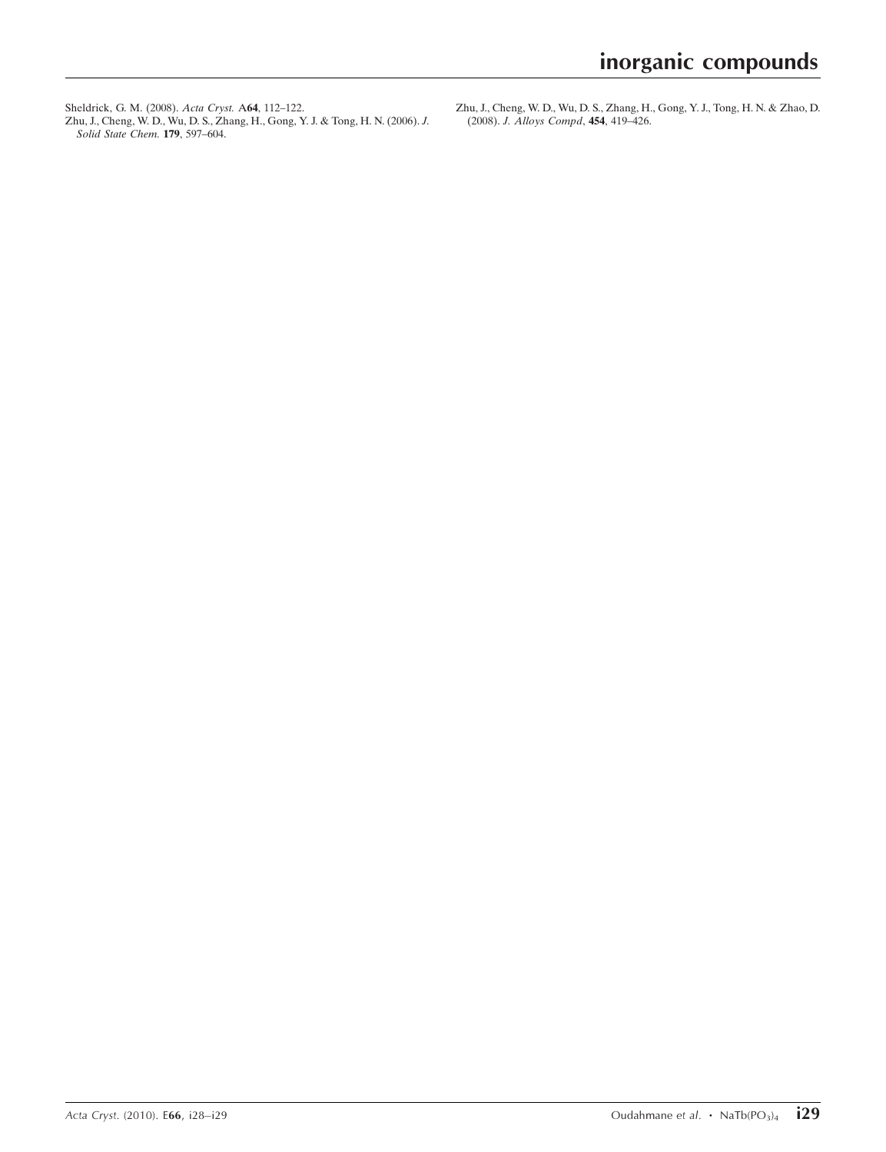[Sheldrick, G. M. \(2008\).](https://scripts.iucr.org/cgi-bin/cr.cgi?rm=pdfbb&cnor=wm2313&bbid=BB15) Acta Cryst. A64, 112–122. [Zhu, J., Cheng, W. D., Wu, D. S., Zhang, H., Gong, Y. J. & Tong, H. N. \(2006\).](https://scripts.iucr.org/cgi-bin/cr.cgi?rm=pdfbb&cnor=wm2313&bbid=BB16) J. [Solid State Chem.](https://scripts.iucr.org/cgi-bin/cr.cgi?rm=pdfbb&cnor=wm2313&bbid=BB16) **179**, 597-604.

[Zhu, J., Cheng, W. D., Wu, D. S., Zhang, H., Gong, Y. J., Tong, H. N. & Zhao, D.](https://scripts.iucr.org/cgi-bin/cr.cgi?rm=pdfbb&cnor=wm2313&bbid=BB17) (2008). [J. Alloys Compd](https://scripts.iucr.org/cgi-bin/cr.cgi?rm=pdfbb&cnor=wm2313&bbid=BB17), 454, 419–426.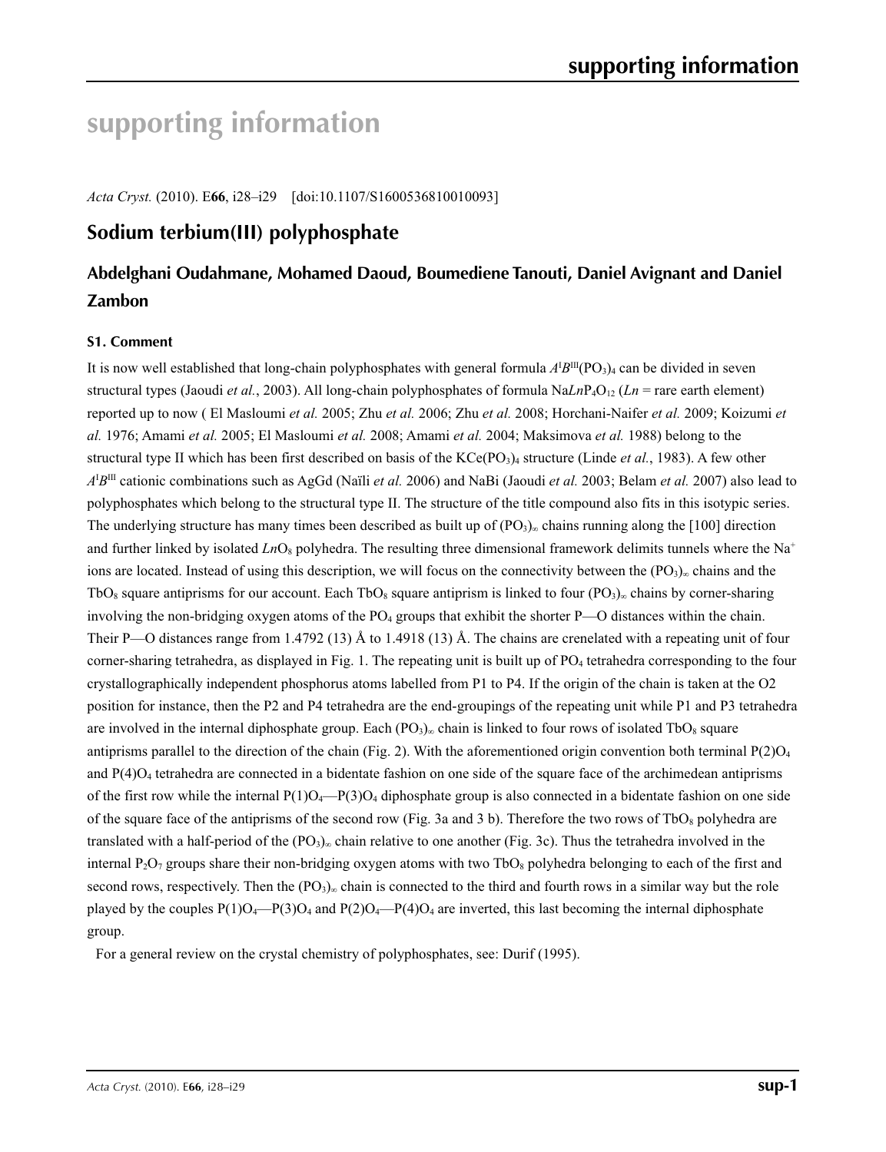# **supporting information**

*Acta Cryst.* (2010). E**66**, i28–i29 [doi:10.1107/S1600536810010093]

### **Sodium terbium(III) polyphosphate**

### **Abdelghani Oudahmane, Mohamed Daoud, Boumediene Tanouti, Daniel Avignant and Daniel Zambon**

### **S1. Comment**

It is now well established that long-chain polyphosphates with general formula  $A^I B^{III}(PO_3)_4$  can be divided in seven structural types (Jaoudi *et al.*, 2003). All long-chain polyphosphates of formula  $N_{a}L_{n}P_{a}O_{12}$  ( $Ln =$  rare earth element) reported up to now ( El Masloumi *et al.* 2005; Zhu *et al.* 2006; Zhu *et al.* 2008; Horchani-Naifer *et al.* 2009; Koizumi *et al.* 1976; Amami *et al.* 2005; El Masloumi *et al.* 2008; Amami *et al.* 2004; Maksimova *et al.* 1988) belong to the structural type II which has been first described on basis of the KCe(PO<sub>3</sub>)<sub>4</sub> structure (Linde *et al.*, 1983). A few other *A*I *B*III cationic combinations such as AgGd (Naïli *et al.* 2006) and NaBi (Jaoudi *et al.* 2003; Belam *et al.* 2007) also lead to polyphosphates which belong to the structural type II. The structure of the title compound also fits in this isotypic series. The underlying structure has many times been described as built up of  $(PO_3)_{\infty}$  chains running along the [100] direction and further linked by isolated  $LnO_8$  polyhedra. The resulting three dimensional framework delimits tunnels where the Na<sup>+</sup> ions are located. Instead of using this description, we will focus on the connectivity between the  $(PO_3)_{\infty}$  chains and the TbO<sub>8</sub> square antiprisms for our account. Each TbO<sub>8</sub> square antiprism is linked to four  $(PO_3)_{\infty}$  chains by corner-sharing involving the non-bridging oxygen atoms of the PO<sub>4</sub> groups that exhibit the shorter P—O distances within the chain. Their P—O distances range from 1.4792 (13) Å to 1.4918 (13) Å. The chains are crenelated with a repeating unit of four corner-sharing tetrahedra, as displayed in Fig. 1. The repeating unit is built up of PO<sub>4</sub> tetrahedra corresponding to the four crystallographically independent phosphorus atoms labelled from P1 to P4. If the origin of the chain is taken at the O2 position for instance, then the P2 and P4 tetrahedra are the end-groupings of the repeating unit while P1 and P3 tetrahedra are involved in the internal diphosphate group. Each  $(PO_3)_{\infty}$  chain is linked to four rows of isolated TbO<sub>8</sub> square antiprisms parallel to the direction of the chain (Fig. 2). With the aforementioned origin convention both terminal  $P(2)O<sub>4</sub>$ and  $P(4)O<sub>4</sub>$  tetrahedra are connected in a bidentate fashion on one side of the square face of the archimedean antiprisms of the first row while the internal  $P(1)O_4$ — $P(3)O_4$  diphosphate group is also connected in a bidentate fashion on one side of the square face of the antiprisms of the second row (Fig. 3a and 3 b). Therefore the two rows of TbO<sub>8</sub> polyhedra are translated with a half-period of the  $(PO<sub>3</sub>)<sub>∞</sub>$  chain relative to one another (Fig. 3c). Thus the tetrahedra involved in the internal  $P_2O_7$  groups share their non-bridging oxygen atoms with two TbO<sub>8</sub> polyhedra belonging to each of the first and second rows, respectively. Then the  $(PO_3)_{\infty}$  chain is connected to the third and fourth rows in a similar way but the role played by the couples  $P(1)O_4-P(3)O_4$  and  $P(2)O_4-P(4)O_4$  are inverted, this last becoming the internal diphosphate group.

For a general review on the crystal chemistry of polyphosphates, see: Durif (1995).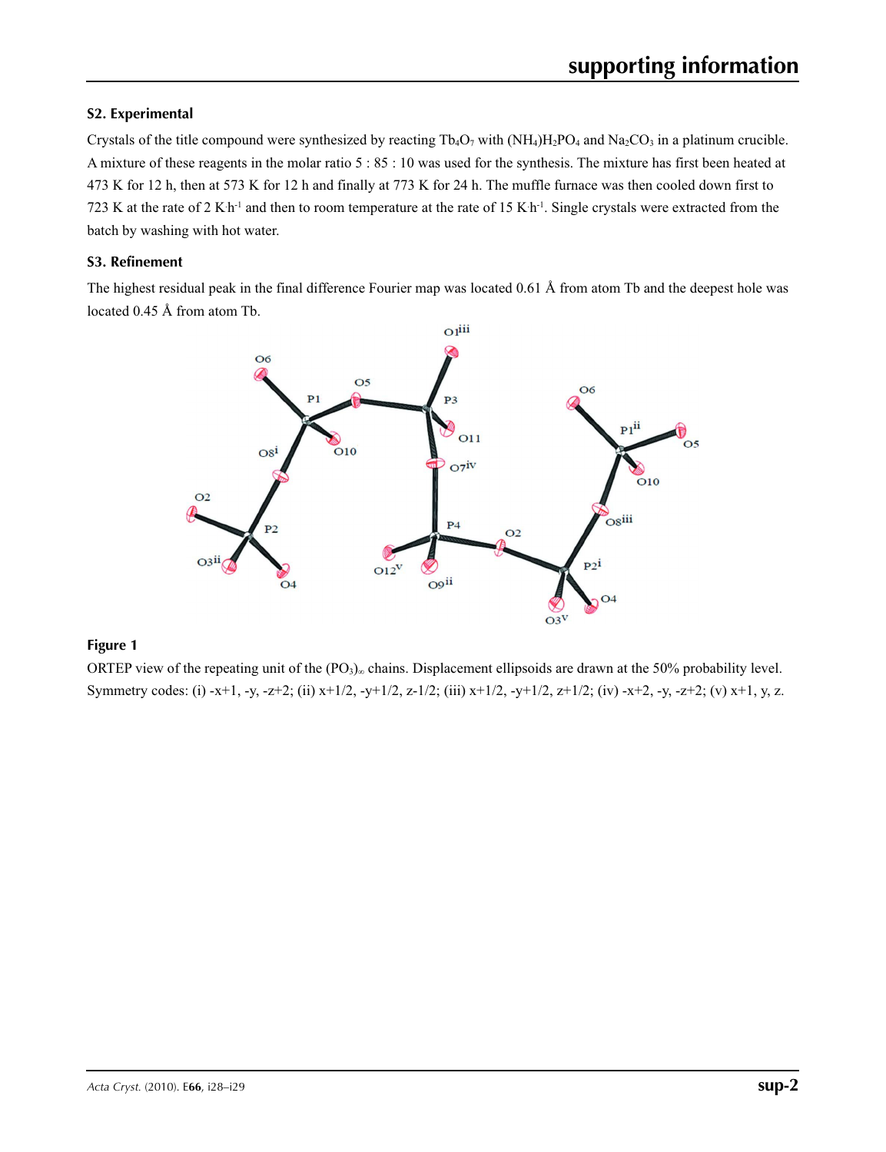### **S2. Experimental**

Crystals of the title compound were synthesized by reacting  $Tb_4O_7$  with  $(NH_4)H_2PO_4$  and  $Na_2CO_3$  in a platinum crucible. A mixture of these reagents in the molar ratio 5 : 85 : 10 was used for the synthesis. The mixture has first been heated at 473 K for 12 h, then at 573 K for 12 h and finally at 773 K for 24 h. The muffle furnace was then cooled down first to 723 K at the rate of 2 K h<sup>-1</sup> and then to room temperature at the rate of 15 K h<sup>-1</sup>. Single crystals were extracted from the batch by washing with hot water.

### **S3. Refinement**

The highest residual peak in the final difference Fourier map was located 0.61 Å from atom Tb and the deepest hole was located 0.45 Å from atom Tb.



### **Figure 1**

ORTEP view of the repeating unit of the (PO<sub>3</sub>)∞ chains. Displacement ellipsoids are drawn at the 50% probability level. Symmetry codes: (i) -x+1, -y, -z+2; (ii) x+1/2, -y+1/2, z-1/2; (iii) x+1/2, -y+1/2, z+1/2; (iv) -x+2, -y, -z+2; (v) x+1, y, z.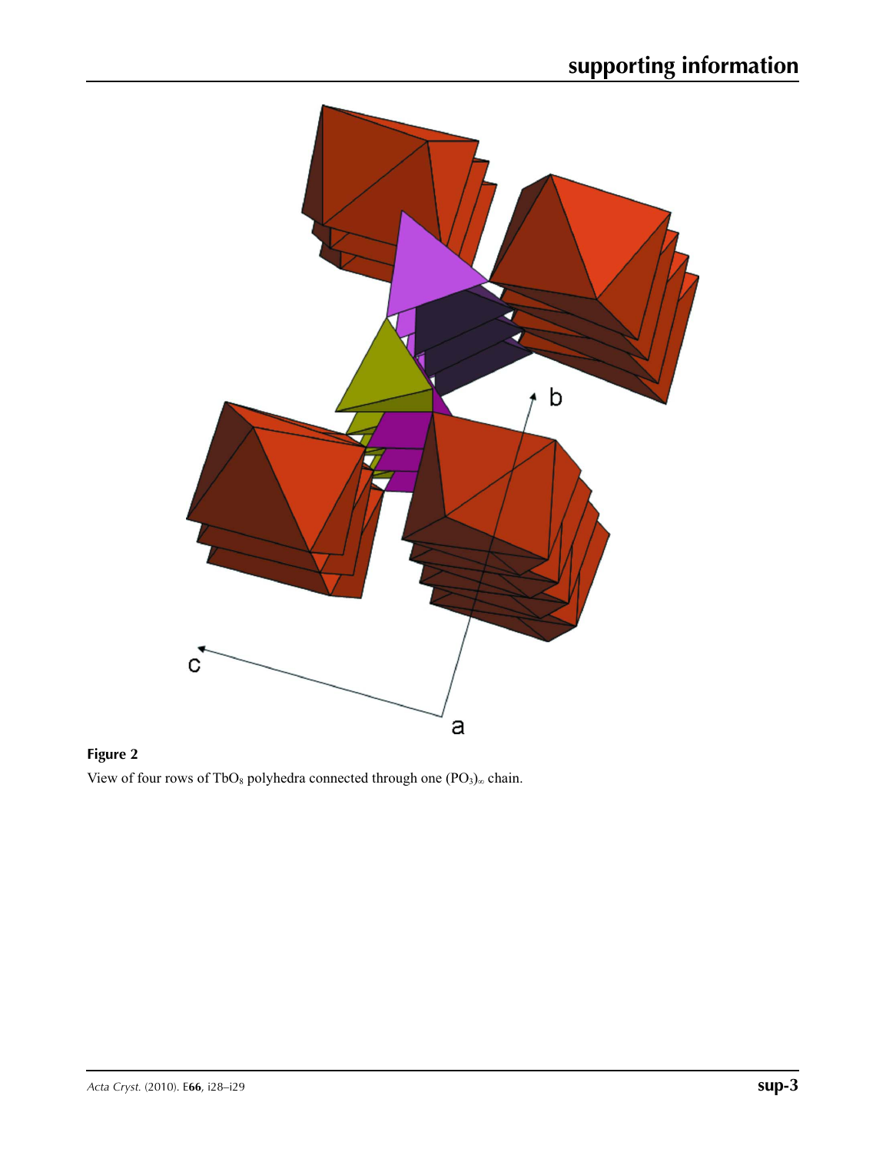

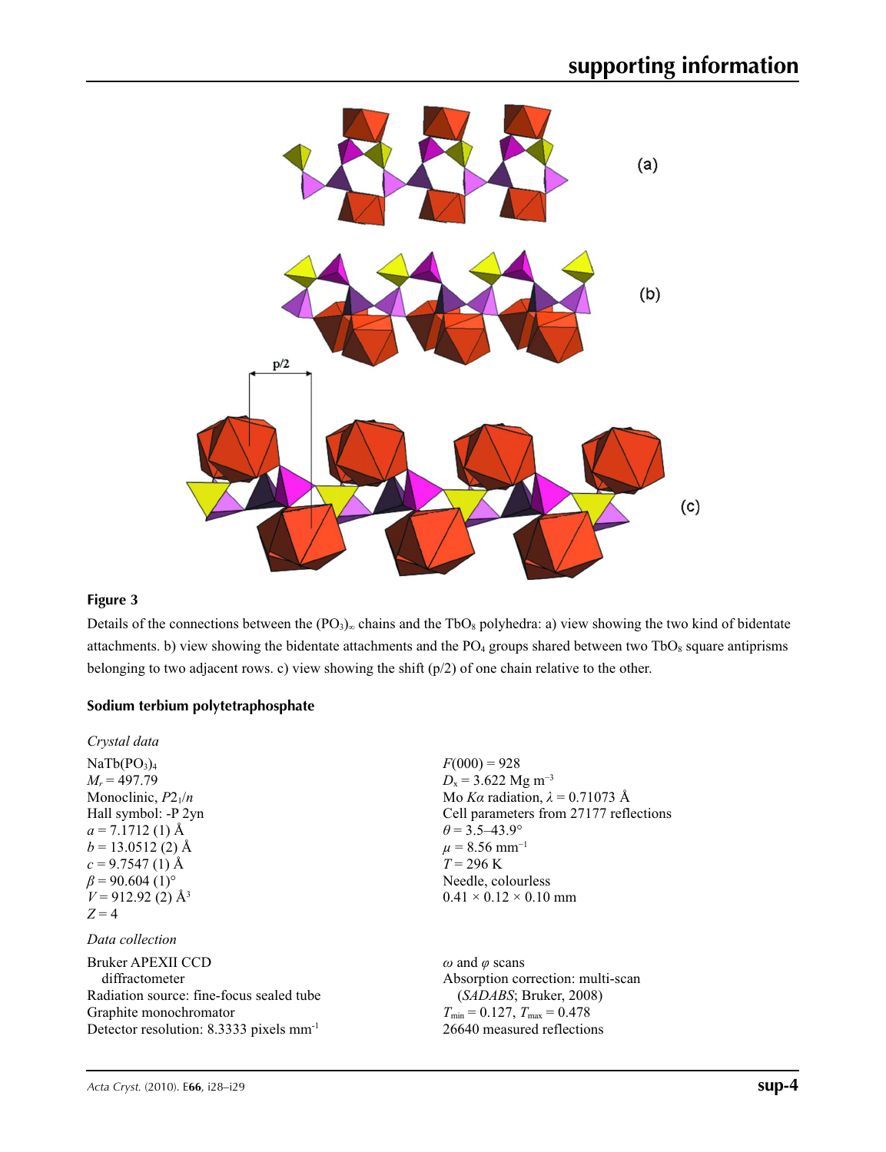

### **Figure 3**

Details of the connections between the  $(PO_3)_{\infty}$  chains and the TbO<sub>8</sub> polyhedra: a) view showing the two kind of bidentate attachments. b) view showing the bidentate attachments and the  $PO_4$  groups shared between two  $TbO_8$  square antiprisms belonging to two adjacent rows. c) view showing the shift (p/2) of one chain relative to the other.

### **Sodium terbium polytetraphosphate**

| $F(000) = 928$<br>$D_x = 3.622$ Mg m <sup>-3</sup><br>Mo Ka radiation, $\lambda = 0.71073$ Å<br>Cell parameters from 27177 reflections<br>$\theta = 3.5 - 43.9^{\circ}$<br>$\mu$ = 8.56 mm <sup>-1</sup><br>$T = 296 \text{ K}$<br>Needle, colourless<br>$0.41 \times 0.12 \times 0.10$ mm |
|--------------------------------------------------------------------------------------------------------------------------------------------------------------------------------------------------------------------------------------------------------------------------------------------|
|                                                                                                                                                                                                                                                                                            |
| $\omega$ and $\varphi$ scans<br>Absorption correction: multi-scan<br>(SADABS; Bruker, 2008)<br>$T_{\min} = 0.127$ , $T_{\max} = 0.478$<br>26640 measured reflections                                                                                                                       |
|                                                                                                                                                                                                                                                                                            |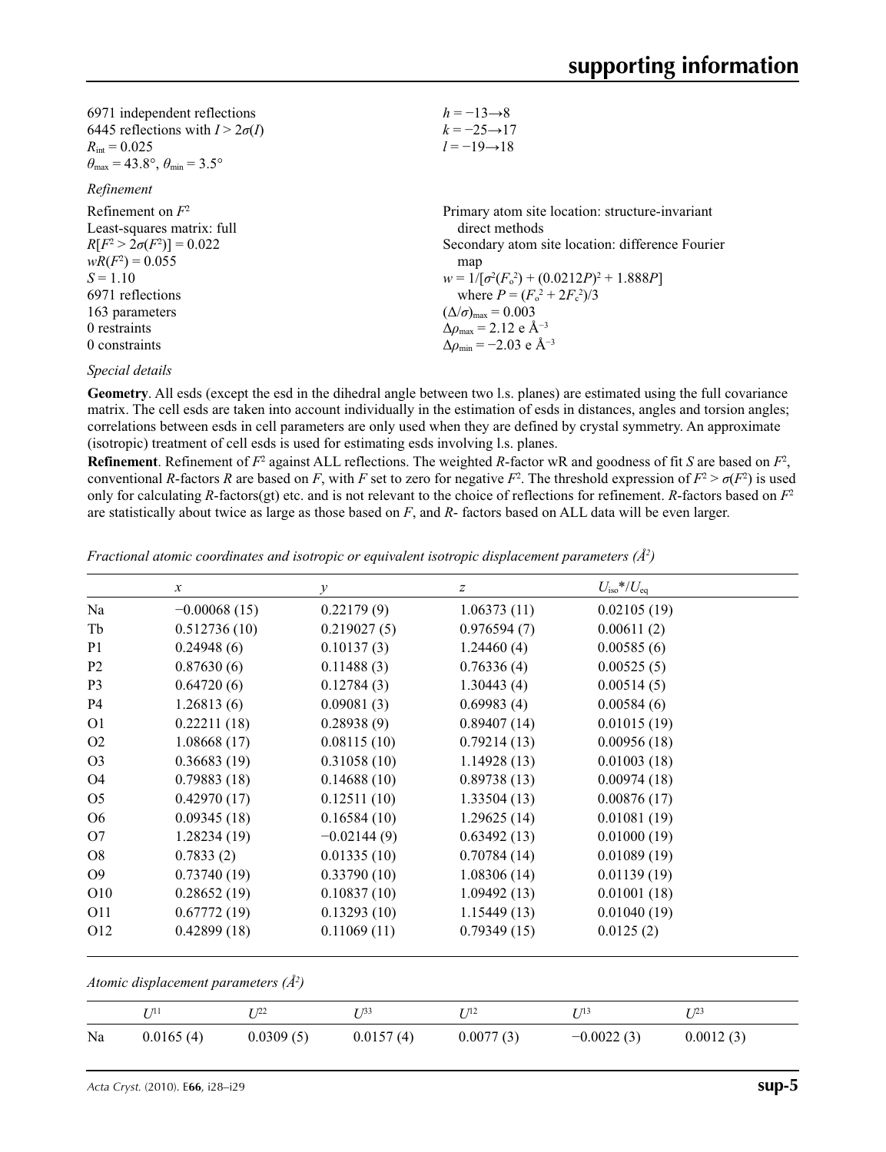| $h = -13 \rightarrow 8$                                  |
|----------------------------------------------------------|
| $k = -25 \rightarrow 17$                                 |
| $l = -19 \rightarrow 18$                                 |
|                                                          |
|                                                          |
| Primary atom site location: structure-invariant          |
| direct methods                                           |
| Secondary atom site location: difference Fourier         |
| map                                                      |
| $w = 1/[\sigma^2(F_0^2) + (0.0212P)^2 + 1.888P]$         |
| where $P = (F_0^2 + 2F_c^2)/3$                           |
| $(\Delta/\sigma)_{\text{max}} = 0.003$                   |
| $\Delta\rho_{\rm max} = 2.12 \text{ e } \text{\AA}^{-3}$ |
| $\Delta\rho_{\rm min} = -2.03$ e Å <sup>-3</sup>         |
|                                                          |

*Special details*

**Geometry**. All esds (except the esd in the dihedral angle between two l.s. planes) are estimated using the full covariance matrix. The cell esds are taken into account individually in the estimation of esds in distances, angles and torsion angles; correlations between esds in cell parameters are only used when they are defined by crystal symmetry. An approximate (isotropic) treatment of cell esds is used for estimating esds involving l.s. planes.

**Refinement**. Refinement of  $F^2$  against ALL reflections. The weighted R-factor wR and goodness of fit *S* are based on  $F^2$ , conventional *R*-factors *R* are based on *F*, with *F* set to zero for negative  $F^2$ . The threshold expression of  $F^2 > \sigma(F^2)$  is used only for calculating *R*-factors(gt) etc. and is not relevant to the choice of reflections for refinement. *R*-factors based on  $F<sup>2</sup>$ are statistically about twice as large as those based on *F*, and *R*- factors based on ALL data will be even larger.

*Fractional atomic coordinates and isotropic or equivalent isotropic displacement parameters (Å2 )*

|                 | $\mathcal{X}$  | $\mathcal{Y}$ | z           | $U_{\rm iso}$ */ $U_{\rm eq}$ |  |
|-----------------|----------------|---------------|-------------|-------------------------------|--|
| Na              | $-0.00068(15)$ | 0.22179(9)    | 1.06373(11) | 0.02105(19)                   |  |
| Tb              | 0.512736(10)   | 0.219027(5)   | 0.976594(7) | 0.00611(2)                    |  |
| P <sub>1</sub>  | 0.24948(6)     | 0.10137(3)    | 1.24460(4)  | 0.00585(6)                    |  |
| P <sub>2</sub>  | 0.87630(6)     | 0.11488(3)    | 0.76336(4)  | 0.00525(5)                    |  |
| P <sub>3</sub>  | 0.64720(6)     | 0.12784(3)    | 1.30443(4)  | 0.00514(5)                    |  |
| P <sub>4</sub>  | 1.26813(6)     | 0.09081(3)    | 0.69983(4)  | 0.00584(6)                    |  |
| O <sub>1</sub>  | 0.22211(18)    | 0.28938(9)    | 0.89407(14) | 0.01015(19)                   |  |
| O <sub>2</sub>  | 1.08668(17)    | 0.08115(10)   | 0.79214(13) | 0.00956(18)                   |  |
| O <sub>3</sub>  | 0.36683(19)    | 0.31058(10)   | 1.14928(13) | 0.01003(18)                   |  |
| O4              | 0.79883(18)    | 0.14688(10)   | 0.89738(13) | 0.00974(18)                   |  |
| O <sub>5</sub>  | 0.42970(17)    | 0.12511(10)   | 1.33504(13) | 0.00876(17)                   |  |
| O <sub>6</sub>  | 0.09345(18)    | 0.16584(10)   | 1.29625(14) | 0.01081(19)                   |  |
| O7              | 1.28234(19)    | $-0.02144(9)$ | 0.63492(13) | 0.01000(19)                   |  |
| O <sub>8</sub>  | 0.7833(2)      | 0.01335(10)   | 0.70784(14) | 0.01089(19)                   |  |
| O <sub>9</sub>  | 0.73740(19)    | 0.33790(10)   | 1.08306(14) | 0.01139(19)                   |  |
| O <sub>10</sub> | 0.28652(19)    | 0.10837(10)   | 1.09492(13) | 0.01001(18)                   |  |
| O11             | 0.67772(19)    | 0.13293(10)   | 1.15449(13) | 0.01040(19)                   |  |
| O <sub>12</sub> | 0.42899(18)    | 0.11069(11)   | 0.79349(15) | 0.0125(2)                     |  |

*Atomic displacement parameters (Å2 )*

|    | 17 1 1    | T 122     | T 133     | T/12      | T 713        | T 123     |
|----|-----------|-----------|-----------|-----------|--------------|-----------|
| Na | 0.0165(4) | 0.0309(5) | 0.0157(4) | 0.0077(3) | $-0.0022(3)$ | 0.0012(3) |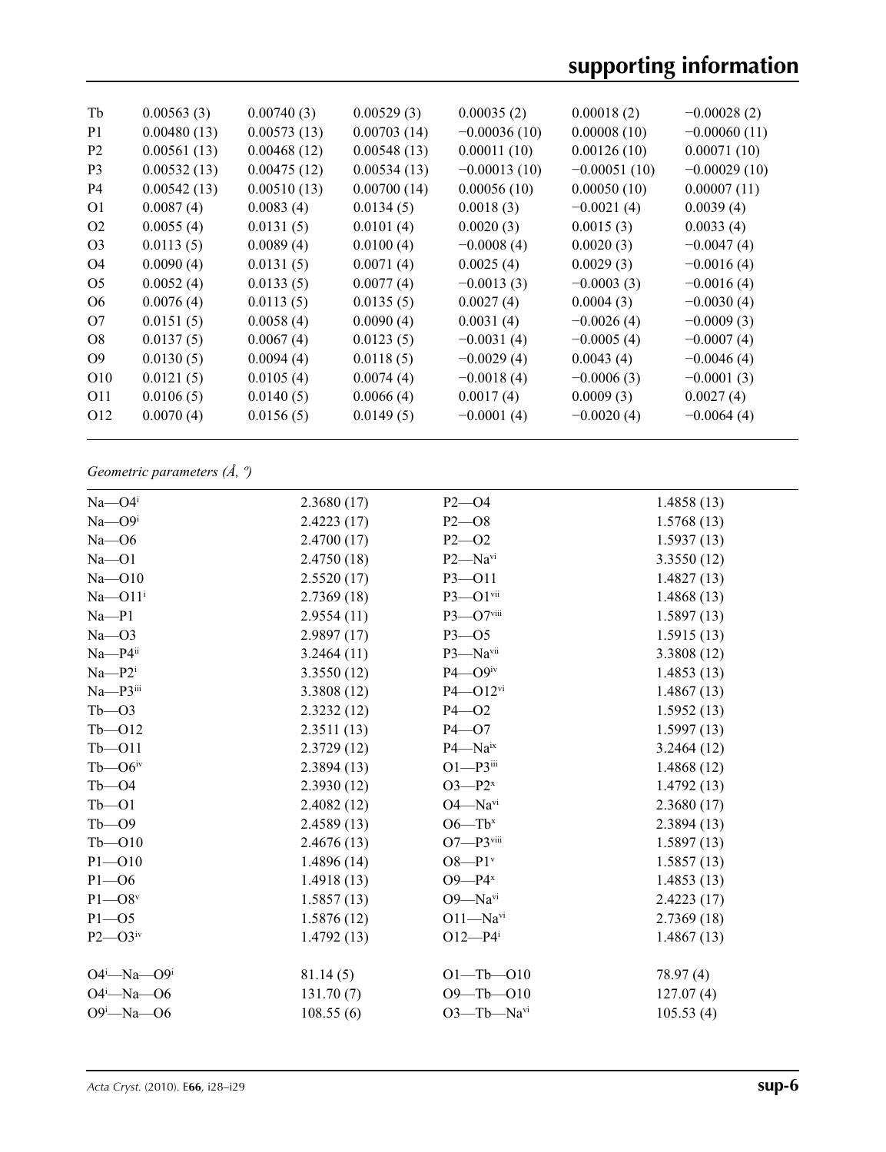| Tb              | 0.00563(3)  | 0.00740(3)  | 0.00529(3)  | 0.00035(2)     | 0.00018(2)     | $-0.00028(2)$  |
|-----------------|-------------|-------------|-------------|----------------|----------------|----------------|
| P <sub>1</sub>  | 0.00480(13) | 0.00573(13) | 0.00703(14) | $-0.00036(10)$ | 0.00008(10)    | $-0.00060(11)$ |
| P <sub>2</sub>  | 0.00561(13) | 0.00468(12) | 0.00548(13) | 0.00011(10)    | 0.00126(10)    | 0.00071(10)    |
| P <sub>3</sub>  | 0.00532(13) | 0.00475(12) | 0.00534(13) | $-0.00013(10)$ | $-0.00051(10)$ | $-0.00029(10)$ |
| P <sub>4</sub>  | 0.00542(13) | 0.00510(13) | 0.00700(14) | 0.00056(10)    | 0.00050(10)    | 0.00007(11)    |
| O <sub>1</sub>  | 0.0087(4)   | 0.0083(4)   | 0.0134(5)   | 0.0018(3)      | $-0.0021(4)$   | 0.0039(4)      |
| O <sub>2</sub>  | 0.0055(4)   | 0.0131(5)   | 0.0101(4)   | 0.0020(3)      | 0.0015(3)      | 0.0033(4)      |
| O <sub>3</sub>  | 0.0113(5)   | 0.0089(4)   | 0.0100(4)   | $-0.0008(4)$   | 0.0020(3)      | $-0.0047(4)$   |
| O <sub>4</sub>  | 0.0090(4)   | 0.0131(5)   | 0.0071(4)   | 0.0025(4)      | 0.0029(3)      | $-0.0016(4)$   |
| O <sub>5</sub>  | 0.0052(4)   | 0.0133(5)   | 0.0077(4)   | $-0.0013(3)$   | $-0.0003(3)$   | $-0.0016(4)$   |
| O <sub>6</sub>  | 0.0076(4)   | 0.0113(5)   | 0.0135(5)   | 0.0027(4)      | 0.0004(3)      | $-0.0030(4)$   |
| O7              | 0.0151(5)   | 0.0058(4)   | 0.0090(4)   | 0.0031(4)      | $-0.0026(4)$   | $-0.0009(3)$   |
| O <sub>8</sub>  | 0.0137(5)   | 0.0067(4)   | 0.0123(5)   | $-0.0031(4)$   | $-0.0005(4)$   | $-0.0007(4)$   |
| O <sub>9</sub>  | 0.0130(5)   | 0.0094(4)   | 0.0118(5)   | $-0.0029(4)$   | 0.0043(4)      | $-0.0046(4)$   |
| O <sub>10</sub> | 0.0121(5)   | 0.0105(4)   | 0.0074(4)   | $-0.0018(4)$   | $-0.0006(3)$   | $-0.0001(3)$   |
| O11             | 0.0106(5)   | 0.0140(5)   | 0.0066(4)   | 0.0017(4)      | 0.0009(3)      | 0.0027(4)      |
| O <sub>12</sub> | 0.0070(4)   | 0.0156(5)   | 0.0149(5)   | $-0.0001(4)$   | $-0.0020(4)$   | $-0.0064(4)$   |
|                 |             |             |             |                |                |                |

*Geometric parameters (Å, º)*

| $Na$ - $O4$ <sup>i</sup>  | 2.3680(17)  | $P2 - O4$                | 1.4858(13)  |
|---------------------------|-------------|--------------------------|-------------|
| $Na$ — $O9i$              | 2.4223(17)  | $P2 - O8$                | 1.5768(13)  |
| $Na - O6$                 | 2.4700(17)  | $P2 - 02$                | 1.5937(13)  |
| $Na - O1$                 | 2.4750(18)  | P2-Navi                  | 3.3550(12)  |
| $Na - O10$                | 2.5520(17)  | P3-011                   | 1.4827(13)  |
| $Na$ - $O11$ <sup>i</sup> | 2.7369(18)  | $P3 - Q1$ vii            | 1.4868(13)  |
| $Na - P1$                 | 2.9554(11)  | $P3$ —O7viii             | 1.5897(13)  |
| $Na - O3$                 | 2.9897(17)  | $P3 - 05$                | 1.5915(13)  |
| Na-P4ii                   | 3.2464(11)  | P3-Navii                 | 3.3808 (12) |
| $Na - P2$                 | 3.3550(12)  | $P4$ — $O9$ iv           | 1.4853(13)  |
| $Na - P3$ <sup>iii</sup>  | 3.3808 (12) | $P4 - O12$ <sup>vi</sup> | 1.4867(13)  |
| $Tb - 03$                 | 2.3232(12)  | $P4 - O2$                | 1.5952(13)  |
| $Tb - 012$                | 2.3511(13)  | $P4 - O7$                | 1.5997(13)  |
| $Tb - 011$                | 2.3729(12)  | P4-Naix                  | 3.2464(12)  |
| $Tb$ — $O6$ iv            | 2.3894(13)  | $O1-P3$ iii              | 1.4868(12)  |
| $Tb - O4$                 | 2.3930(12)  | $O3-P2^x$                | 1.4792(13)  |
| $Tb - O1$                 | 2.4082(12)  | $O4 - Navi$              | 2.3680(17)  |
| $Tb$ - $O9$               | 2.4589(13)  | $O6 - Tbx$               | 2.3894(13)  |
| $Tb - 010$                | 2.4676(13)  | $O7 - P3$ viii           | 1.5897(13)  |
| $P1 - O10$                | 1.4896(14)  | $O8-P1v$                 | 1.5857(13)  |
| $P1 - O6$                 | 1.4918(13)  | $O9 - P4^x$              | 1.4853(13)  |
| $P1 - O8$ <sup>v</sup>    | 1.5857(13)  | O9-Navi                  | 2.4223(17)  |
| $P1 - 05$                 | 1.5876(12)  | $O11 - Navi$             | 2.7369(18)  |
| $P2$ — $O3iv$             | 1.4792(13)  | $O12 - P4$ <sup>i</sup>  | 1.4867(13)  |
| $O4^i$ —Na— $O9^i$        | 81.14(5)    | $O1 - Tb - O10$          | 78.97(4)    |
| $O4 - Na - O6$            | 131.70(7)   | $O9 - Tb - O10$          | 127.07(4)   |
| $O9^i - Na - O6$          | 108.55(6)   | O3-Tb-Navi               | 105.53(4)   |
|                           |             |                          |             |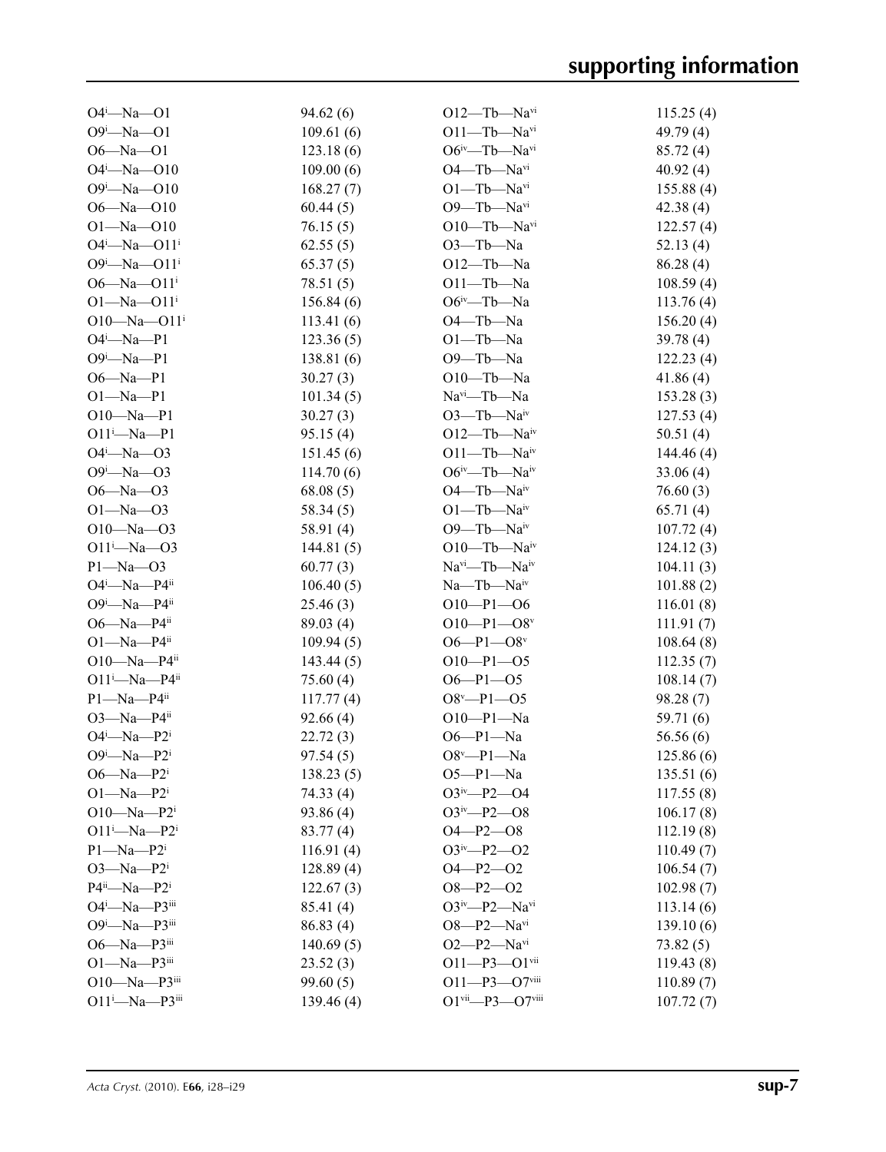| $O4^i$ —Na—O1                 | 94.62(6)  | $O12$ —Tb—Na <sup>vi</sup>     | 115.25(4)  |
|-------------------------------|-----------|--------------------------------|------------|
| $O9^i$ -Na- $O1$              | 109.61(6) | $O11 - Tb - Navi$              | 49.79 (4)  |
| $O6 - Na - O1$                | 123.18(6) | $O6^{iv}$ —Tb—Na <sup>vi</sup> | 85.72 (4)  |
| $O4^i$ -Na- $O10$             | 109.00(6) | $O4$ —Tb—Na <sup>vi</sup>      | 40.92(4)   |
| $O9^i$ -Na- $O10$             | 168.27(7) | $O1 - Tb - Navi$               | 155.88(4)  |
| $O6 - Na - O10$               | 60.44(5)  | $O9$ —Tb—Navi                  | 42.38(4)   |
| $O1 - Na - O10$               | 76.15(5)  | $O10$ —Tb—Na <sup>vi</sup>     | 122.57(4)  |
| $O4^i$ —Na— $O11^i$           | 62.55(5)  | $O3$ —Tb—Na                    | 52.13(4)   |
| $O9^i$ —Na—O11 <sup>i</sup>   | 65.37(5)  | $O12$ —Tb—Na                   | 86.28(4)   |
| $O6 - Na - O11$               | 78.51(5)  | $O11 - Tb - Na$                | 108.59(4)  |
| $O1 - Na - O11$ <sup>i</sup>  | 156.84(6) | $O6^{\text{iv}}$ —Tb—Na        | 113.76(4)  |
| $O10 - Na - O11$ <sup>i</sup> | 113.41(6) | O <sub>4</sub> -Tb-Na          | 156.20(4)  |
| $O4^i$ -Na-P1                 | 123.36(5) | $O1 - Tb - Na$                 | 39.78(4)   |
| $O9^i$ -Na-P1                 | 138.81(6) | O9-Tb-Na                       | 122.23(4)  |
| $O6 - Na - P1$                | 30.27(3)  | $O10$ —Tb—Na                   | 41.86(4)   |
| $O1 - Na - P1$                | 101.34(5) | $Navi$ -Tb--Na                 | 153.28(3)  |
| $O10 - Na - Pl$               | 30.27(3)  | $O3$ —Tb—Naiv                  | 127.53(4)  |
| $O11^i$ -Na-P1                | 95.15(4)  | $O12$ —Tb—Na <sup>iv</sup>     | 50.51(4)   |
| $O4^i$ —Na—O3                 | 151.45(6) | $O11 - Tb - Naiv$              | 144.46 (4) |
| $O9^i - Na - O3$              | 114.70(6) | $O6^{iv}$ —Tb—Na $^{iv}$       | 33.06(4)   |
| $O6 - Na - O3$                | 68.08(5)  | $O4$ —Tb—Na <sup>iv</sup>      | 76.60(3)   |
| $O1 - Na - O3$                | 58.34(5)  | $O1 - Tb - Naiv$               | 65.71(4)   |
| $O10 - Na - O3$               | 58.91 (4) | $O9$ —Tb—Na <sup>iv</sup>      | 107.72(4)  |
| $O11^i$ -Na- $O3$             | 144.81(5) | $O10$ —Tb—Naiv                 | 124.12(3)  |
| $P1 - Na - O3$                | 60.77(3)  | $Navi$ -Tb- $Naiv$             | 104.11(3)  |
| $O4^i$ —Na—P $4^{ii}$         | 106.40(5) | $Na$ — $Tb$ — $Naiv$           | 101.88(2)  |
| $O9^i$ —Na—P4 $i$             | 25.46(3)  | $O10-P1-O6$                    | 116.01(8)  |
| O6-Na-P4 $ii$                 | 89.03(4)  | $O10-P1-O8v$                   | 111.91(7)  |
| $O1 - Na - P4$ <sup>ii</sup>  | 109.94(5) | $O6 - P1 - O8$ <sup>v</sup>    | 108.64(8)  |
| $O10 - Na - P4$ <sup>ii</sup> | 143.44(5) | $O10-P1-O5$                    | 112.35(7)  |
| $O11 - Na - P4$ <sup>ii</sup> | 75.60 (4) | $O6 - P1 - O5$                 | 108.14(7)  |
| $P1 - Na - P4$ <sup>ii</sup>  | 117.77(4) | $O8^v$ -P1-05                  | 98.28 (7)  |
| $O3 - Na - P4$ <sup>ii</sup>  | 92.66(4)  | $O10-P1-Na$                    | 59.71 (6)  |
| $O4^i$ —Na—P2 <sup>i</sup>    | 22.72(3)  | $O6-P1-Na$                     | 56.56 (6)  |
| $O9^i$ -Na- $P2^i$            | 97.54(5)  | $O8^v - P1 - Na$               | 125.86(6)  |
| $O6 - Na - P2$ <sup>1</sup>   | 138.23(5) | $O5-P1-Na$                     | 135.51(6)  |
| $O1 - Na - P2$                | 74.33(4)  | $O3^{iv} - P2 - O4$            | 117.55(8)  |
| O10-Na-P2 $^{i}$              | 93.86(4)  | $O3^{iv} - P2 - O8$            | 106.17(8)  |
| $O11^i$ -Na-P2 <sup>i</sup>   | 83.77 (4) | $O4 - P2 - O8$                 | 112.19(8)  |
| $P1 - Na - P2$                | 116.91(4) | $O3^{iv} - P2 - O2$            | 110.49(7)  |
| $O3$ —Na—P2 <sup>i</sup>      | 128.89(4) | $O4 - P2 - O2$                 | 106.54(7)  |
| $P4^{ii}$ —Na—P2 <sup>i</sup> | 122.67(3) | $O8 - P2 - O2$                 | 102.98(7)  |
| O4 <sup>i</sup> -Na-P3iii     | 85.41 (4) | $O3^{iv} - P2 - Na^{vi}$       | 113.14(6)  |
| $O9^i$ -Na-P3iii              | 86.83(4)  | $O8 - P2 - Navi$               | 139.10(6)  |
| O6-Na-P3iii                   | 140.69(5) | $O2-P2-Na^{vi}$                | 73.82(5)   |
| $O1 - Na - P3$ iii            | 23.52(3)  | $O11 - P3 - O1$ <sup>vii</sup> | 119.43(8)  |
| $O10 - Na - P3$               | 99.60(5)  | $O11 - P3 - O7$ viii           | 110.89(7)  |
| $O11^i$ -Na-P3iii             | 139.46(4) | O1vii-P3-O7viii                | 107.72(7)  |
|                               |           |                                |            |